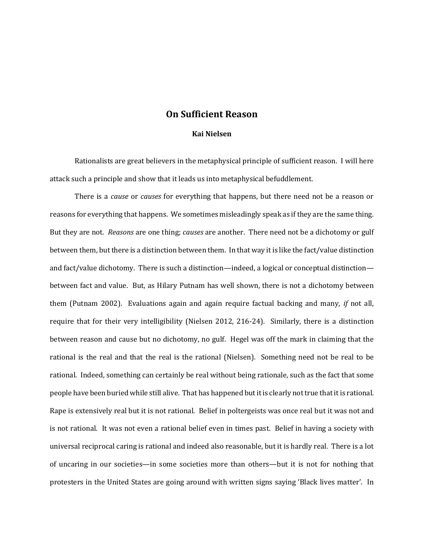## **On Sufficient Reason**

## **Kai Nielsen**

Rationalists are great believers in the metaphysical principle of sufficient reason. I will here attack such a principle and show that it leads us into metaphysical befuddlement.

There is a *cause* or *causes* for everything that happens, but there need not be a reason or reasons for everything that happens. We sometimes misleadingly speak as if they are the same thing. But they are not. *Reasons* are one thing; *causes* are another. There need not be a dichotomy or gulf between them, but there is a distinction between them. In that way it is like the fact/value distinction and fact/value dichotomy. There is such a distinction—indeed, a logical or conceptual distinction between fact and value. But, as Hilary Putnam has well shown, there is not a dichotomy between them (Putnam 2002). Evaluations again and again require factual backing and many, *if* not all, require that for their very intelligibility (Nielsen 2012, 216-24). Similarly, there is a distinction between reason and cause but no dichotomy, no gulf. Hegel was off the mark in claiming that the rational is the real and that the real is the rational (Nielsen). Something need not be real to be rational. Indeed, something can certainly be real without being rationale, such as the fact that some people have been buried while still alive. That has happened but it is clearly not true that it is rational. Rape is extensively real but it is not rational. Belief in poltergeists was once real but it was not and is not rational. It was not even a rational belief even in times past. Belief in having a society with universal reciprocal caring is rational and indeed also reasonable, but it is hardly real. There is a lot of uncaring in our societies—in some societies more than others—but it is not for nothing that protesters in the United States are going around with written signs saying 'Black lives matter'. In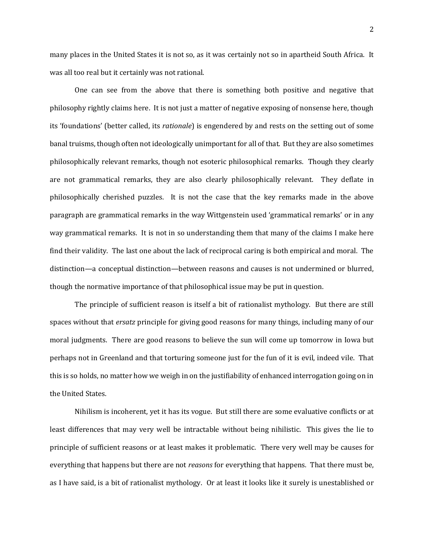many places in the United States it is not so, as it was certainly not so in apartheid South Africa. It was all too real but it certainly was not rational.

One can see from the above that there is something both positive and negative that philosophy rightly claims here. It is not just a matter of negative exposing of nonsense here, though its 'foundations' (better called, its *rationale*) is engendered by and rests on the setting out of some banal truisms, though often not ideologically unimportant for all of that. But they are also sometimes philosophically relevant remarks, though not esoteric philosophical remarks. Though they clearly are not grammatical remarks, they are also clearly philosophically relevant. They deflate in philosophically cherished puzzles. It is not the case that the key remarks made in the above paragraph are grammatical remarks in the way Wittgenstein used 'grammatical remarks' or in any way grammatical remarks. It is not in so understanding them that many of the claims I make here find their validity. The last one about the lack of reciprocal caring is both empirical and moral. The distinction—a conceptual distinction—between reasons and causes is not undermined or blurred, though the normative importance of that philosophical issue may be put in question.

The principle of sufficient reason is itself a bit of rationalist mythology. But there are still spaces without that *ersatz* principle for giving good reasons for many things, including many of our moral judgments. There are good reasons to believe the sun will come up tomorrow in Iowa but perhaps not in Greenland and that torturing someone just for the fun of it is evil, indeed vile. That this is so holds, no matter how we weigh in on the justifiability of enhanced interrogation going on in the United States.

Nihilism is incoherent, yet it has its vogue. But still there are some evaluative conflicts or at least differences that may very well be intractable without being nihilistic. This gives the lie to principle of sufficient reasons or at least makes it problematic. There very well may be causes for everything that happens but there are not *reasons* for everything that happens. That there must be, as I have said, is a bit of rationalist mythology. Or at least it looks like it surely is unestablished or